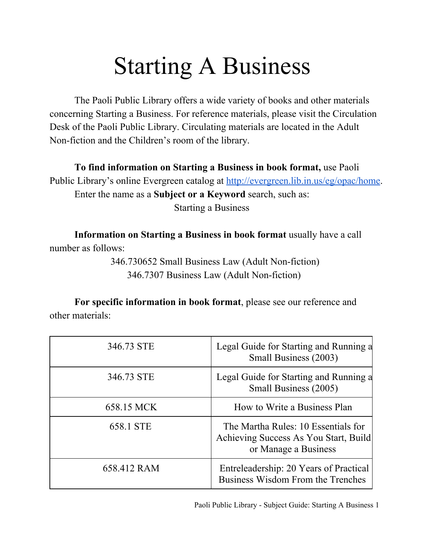## Starting A Business

The Paoli Public Library offers a wide variety of books and other materials concerning Starting a Business. For reference materials, please visit the Circulation Desk of the Paoli Public Library. Circulating materials are located in the Adult Non-fiction and the Children's room of the library.

**To find information on Starting a Business in book format,** use Paoli Public Library's online Evergreen catalog at [http://evergreen.lib.in.us/eg/opac/home.](http://www.google.com/url?q=http%3A%2F%2Fevergreen.lib.in.us%2Feg%2Fopac%2Fhome&sa=D&sntz=1&usg=AFQjCNGsG5M-fKX2vRjqCLPN7y-hvpw6_w) Enter the name as a **Subject or a Keyword** search, such as:

Starting a Business

**Information on Starting a Business in book format** usually have a call number as follows:

> 346.730652 Small Business Law (Adult Non-fiction) 346.7307 Business Law (Adult Non-fiction)

**For specific information in book format**, please see our reference and other materials:

| 346.73 STE  | Legal Guide for Starting and Running a<br>Small Business (2003)                                      |
|-------------|------------------------------------------------------------------------------------------------------|
| 346.73 STE  | Legal Guide for Starting and Running a<br>Small Business (2005)                                      |
| 658.15 MCK  | How to Write a Business Plan                                                                         |
| 658.1 STE   | The Martha Rules: 10 Essentials for<br>Achieving Success As You Start, Build<br>or Manage a Business |
| 658.412 RAM | Entreleadership: 20 Years of Practical<br>Business Wisdom From the Trenches                          |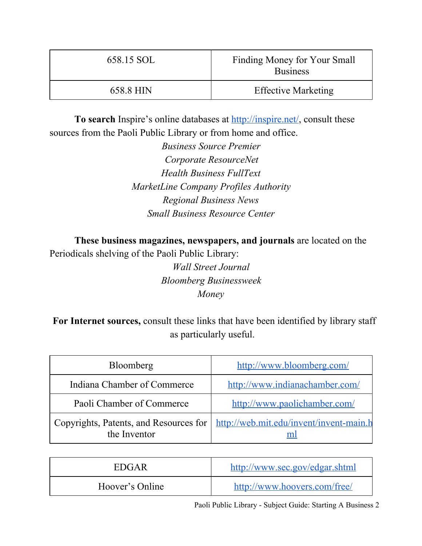| 658.15 SOL | Finding Money for Your Small<br><b>Business</b> |
|------------|-------------------------------------------------|
| 658.8 HIN  | <b>Effective Marketing</b>                      |

**To search** Inspire's online databases at **http://inspire.net/**, consult these sources from the Paoli Public Library or from home and office.

> *Business Source Premier Corporate ResourceNet Health Business FullText MarketLine Company Profiles Authority Regional Business News Small Business Resource Center*

**These business magazines, newspapers, and journals** are located on the Periodicals shelving of the Paoli Public Library:

> *Wall Street Journal Bloomberg Businessweek Money*

**For Internet sources,** consult these links that have been identified by library staff as particularly useful.

| <b>Bloomberg</b>            | http://www.bloomberg.com/                                                        |
|-----------------------------|----------------------------------------------------------------------------------|
| Indiana Chamber of Commerce | http://www.indianachamber.com/                                                   |
| Paoli Chamber of Commerce   | http://www.paolichamber.com/                                                     |
| the Inventor                | Copyrights, Patents, and Resources for   http://web.mit.edu/invent/invent-main.h |

| EDGAR           | http://www.sec.gov/edgar.shtml |
|-----------------|--------------------------------|
| Hoover's Online | http://www.hoovers.com/free/   |

Paoli Public Library - Subject Guide: Starting A Business 2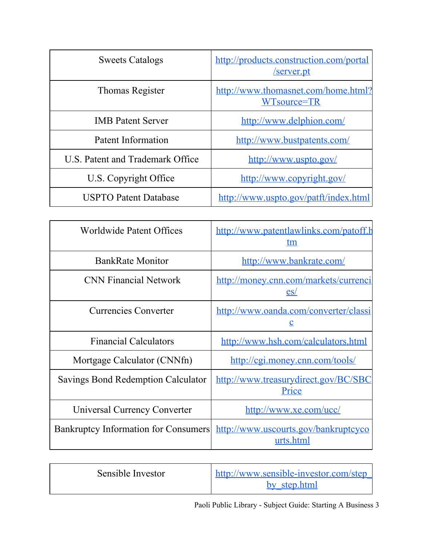| <b>Sweets Catalogs</b>           | http://products.construction.com/portal<br>server.pt |
|----------------------------------|------------------------------------------------------|
| Thomas Register                  | http://www.thomasnet.com/home.html?<br>WTsource=TR   |
| <b>IMB</b> Patent Server         | http://www.delphion.com/                             |
| Patent Information               | http://www.bustpatents.com/                          |
| U.S. Patent and Trademark Office | http://www.uspto.gov/                                |
| U.S. Copyright Office            | http://www.copyright.gov/                            |
| <b>USPTO Patent Database</b>     | http://www.uspto.gov/patft/index.html                |

| <b>Worldwide Patent Offices</b>             | http://www.patentlawlinks.com/patoff.h<br>tm         |
|---------------------------------------------|------------------------------------------------------|
| <b>BankRate Monitor</b>                     | http://www.bankrate.com/                             |
| <b>CNN Financial Network</b>                | http://money.cnn.com/markets/currenci<br>es/         |
| <b>Currencies Converter</b>                 | http://www.oanda.com/converter/classi<br>$\mathbf c$ |
| <b>Financial Calculators</b>                | <u>http://www.hsh.com/calculators.html</u>           |
| Mortgage Calculator (CNNfn)                 | http://cgi.money.cnn.com/tools/                      |
| Savings Bond Redemption Calculator          | http://www.treasurydirect.gov/BC/SBC<br>Price        |
| Universal Currency Converter                | http://www.xe.com/ucc/                               |
| <b>Bankruptcy Information for Consumers</b> | http://www.uscourts.gov/bankruptcyco<br>urts.html    |

| Sensible Investor | http://www.sensible-investor.com/step |
|-------------------|---------------------------------------|
|                   | by step.html                          |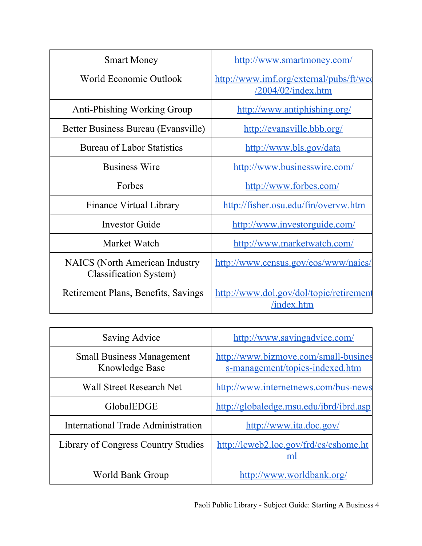| <b>Smart Money</b>                                                     | http://www.smartmoney.com/                                       |
|------------------------------------------------------------------------|------------------------------------------------------------------|
| World Economic Outlook                                                 | http://www.imf.org/external/pubs/ft/wee<br>$/2004/02$ /index.htm |
| <b>Anti-Phishing Working Group</b>                                     | http://www.antiphishing.org/                                     |
| Better Business Bureau (Evansville)                                    | http://evansville.bbb.org/                                       |
| <b>Bureau of Labor Statistics</b>                                      | http://www.bls.gov/data                                          |
| <b>Business Wire</b>                                                   | http://www.businesswire.com/                                     |
| Forbes                                                                 | http://www.forbes.com/                                           |
| Finance Virtual Library                                                | http://fisher.osu.edu/fin/overvw.htm                             |
| <b>Investor Guide</b>                                                  | http://www.investorguide.com/                                    |
| Market Watch                                                           | http://www.marketwatch.com/                                      |
| <b>NAICS</b> (North American Industry<br><b>Classification System)</b> | <u>http://www.census.gov/eos/www/naics/</u>                      |
| Retirement Plans, Benefits, Savings                                    | http://www.dol.gov/dol/topic/retirement<br>/index.htm            |

| Saving Advice                                             | http://www.savingadvice.com/                                            |
|-----------------------------------------------------------|-------------------------------------------------------------------------|
| <b>Small Business Management</b><br><b>Knowledge Base</b> | http://www.bizmove.com/small-busines<br>s-management/topics-indexed.htm |
| <b>Wall Street Research Net</b>                           | http://www.internetnews.com/bus-news                                    |
| GlobalEDGE                                                | http://globaledge.msu.edu/ibrd/ibrd.asp                                 |
| International Trade Administration                        | http://www.ita.doc.gov/                                                 |
| <b>Library of Congress Country Studies</b>                | http://lcweb2.loc.gov/frd/cs/cshome.ht<br>ml                            |
| World Bank Group                                          | http://www.worldbank.org/                                               |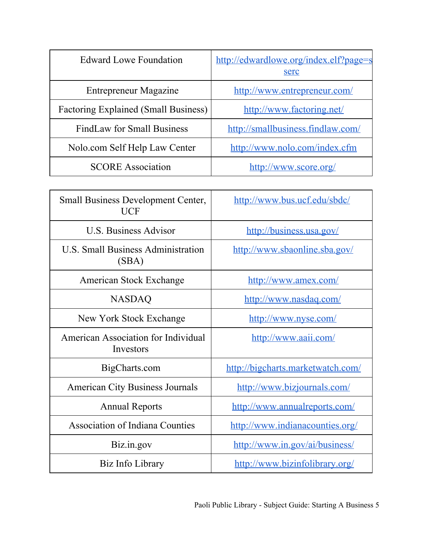| <b>Edward Lowe Foundation</b>               | http://edwardlowe.org/index.elf?page=s<br>serc |
|---------------------------------------------|------------------------------------------------|
| <b>Entrepreneur Magazine</b>                | http://www.entrepreneur.com/                   |
| <b>Factoring Explained (Small Business)</b> | http://www.factoring.net/                      |
| <b>FindLaw for Small Business</b>           | http://smallbusiness.findlaw.com/              |
| Nolo.com Self Help Law Center               | http://www.nolo.com/index.cfm                  |
| <b>SCORE Association</b>                    | http://www.score.org/                          |

| <b>Small Business Development Center,</b><br>UCF | http://www.bus.ucf.edu/sbdc/      |
|--------------------------------------------------|-----------------------------------|
| <b>U.S. Business Advisor</b>                     | http://business.usa.gov/          |
| U.S. Small Business Administration<br>(SBA)      | http://www.sbaonline.sba.gov/     |
| American Stock Exchange                          | http://www.amex.com/              |
| <b>NASDAQ</b>                                    | http://www.nasdaq.com/            |
| New York Stock Exchange                          | http://www.nyse.com/              |
| American Association for Individual<br>Investors | http://www.aaii.com/              |
| BigCharts.com                                    | http://bigcharts.marketwatch.com/ |
| <b>American City Business Journals</b>           | http://www.bizjournals.com/       |
| <b>Annual Reports</b>                            | http://www.annualreports.com/     |
| <b>Association of Indiana Counties</b>           | http://www.indianacounties.org/   |
| Biz.in.gov                                       | http://www.in.gov/ai/business/    |
| Biz Info Library                                 | http://www.bizinfolibrary.org/    |